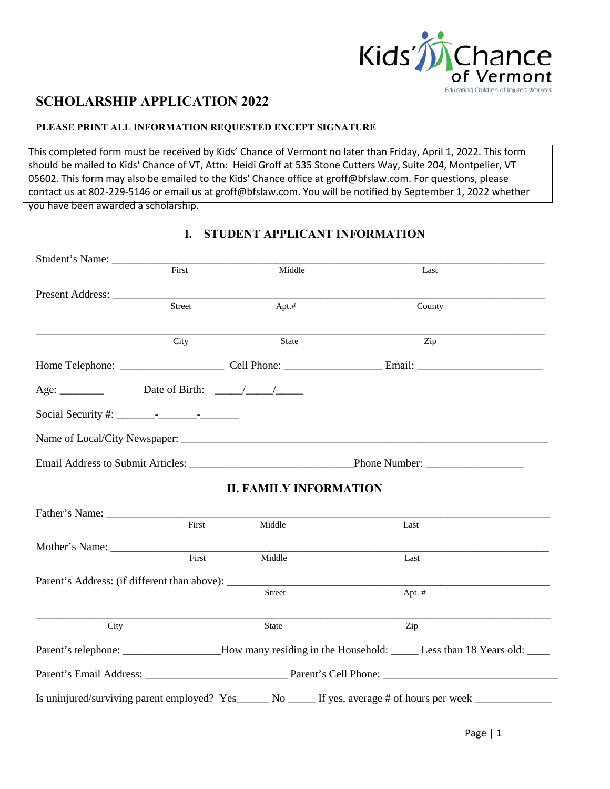

## **SCHOLARSHIP APPLICATION 2022**

## **PLEASE PRINT ALL INFORMATION REQUESTED EXCEPT SIGNATURE**

This completed form must be received by Kids' Chance of Vermont no later than Friday, April 1, 2022. This form should be mailed to Kids' Chance of VT, Attn: Heidi Groff at 535 Stone Cutters Way, Suite 204, Montpelier, VT 05602. This form may also be [emailed](mailto:kjk@mc-fitz.com) to the Kids' Chance office at groff@bfslaw.com. For questions, please [contact us](mailto:kjk@mc-fitz.com) at 802-229-5146 or email us at groff@bfslaw.com. You will be notified by September 1, 2022 whether you have been awarded a scholarship.

| Student's Name:                                                                                                                                                                                                                                                                                                                                                                                                     |        |                               |                                                                                                             |  |  |  |  |
|---------------------------------------------------------------------------------------------------------------------------------------------------------------------------------------------------------------------------------------------------------------------------------------------------------------------------------------------------------------------------------------------------------------------|--------|-------------------------------|-------------------------------------------------------------------------------------------------------------|--|--|--|--|
|                                                                                                                                                                                                                                                                                                                                                                                                                     | First  | Middle                        | Last                                                                                                        |  |  |  |  |
| Present Address:                                                                                                                                                                                                                                                                                                                                                                                                    |        |                               |                                                                                                             |  |  |  |  |
|                                                                                                                                                                                                                                                                                                                                                                                                                     | Street | Apt.#                         | County                                                                                                      |  |  |  |  |
|                                                                                                                                                                                                                                                                                                                                                                                                                     | City   | <b>State</b>                  | Zip                                                                                                         |  |  |  |  |
|                                                                                                                                                                                                                                                                                                                                                                                                                     |        |                               |                                                                                                             |  |  |  |  |
| Age: $\frac{1}{\sqrt{1-\frac{1}{1-\frac{1}{1-\frac{1}{1-\frac{1}{1-\frac{1}{1-\frac{1}{1-\frac{1}{1-\frac{1}{1-\frac{1}{1-\frac{1}{1-\frac{1}{1-\frac{1}{1-\frac{1}{1-\frac{1}{1-\frac{1}{1-\frac{1}{1-\frac{1}{1-\frac{1}{1-\frac{1}{1-\frac{1}{1-\frac{1}{1-\frac{1}{1-\frac{1}{1-\frac{1}{1-\frac{1}{1-\frac{1}{1-\frac{1}{1-\frac{1}{1-\frac{1}{1-\frac{1}{1-\frac{1}{1-\frac{1}{1-\frac{1}{1-\frac{1}{1-\frac$ |        |                               |                                                                                                             |  |  |  |  |
|                                                                                                                                                                                                                                                                                                                                                                                                                     |        |                               |                                                                                                             |  |  |  |  |
|                                                                                                                                                                                                                                                                                                                                                                                                                     |        |                               |                                                                                                             |  |  |  |  |
|                                                                                                                                                                                                                                                                                                                                                                                                                     |        |                               |                                                                                                             |  |  |  |  |
|                                                                                                                                                                                                                                                                                                                                                                                                                     |        | <b>II. FAMILY INFORMATION</b> |                                                                                                             |  |  |  |  |
|                                                                                                                                                                                                                                                                                                                                                                                                                     |        |                               |                                                                                                             |  |  |  |  |
|                                                                                                                                                                                                                                                                                                                                                                                                                     | First  | Middle                        | Last                                                                                                        |  |  |  |  |
| Mother's Name:                                                                                                                                                                                                                                                                                                                                                                                                      |        |                               |                                                                                                             |  |  |  |  |
|                                                                                                                                                                                                                                                                                                                                                                                                                     | First  | Middle                        | Last                                                                                                        |  |  |  |  |
|                                                                                                                                                                                                                                                                                                                                                                                                                     |        |                               |                                                                                                             |  |  |  |  |
|                                                                                                                                                                                                                                                                                                                                                                                                                     |        | Street                        | Apt. #                                                                                                      |  |  |  |  |
| City                                                                                                                                                                                                                                                                                                                                                                                                                |        | State                         | Zip                                                                                                         |  |  |  |  |
|                                                                                                                                                                                                                                                                                                                                                                                                                     |        |                               | Parent's telephone: ________________How many residing in the Household: ______ Less than 18 Years old: ____ |  |  |  |  |
|                                                                                                                                                                                                                                                                                                                                                                                                                     |        |                               |                                                                                                             |  |  |  |  |
|                                                                                                                                                                                                                                                                                                                                                                                                                     |        |                               | Is uninjured/surviving parent employed? Yes______ No _____ If yes, average # of hours per week ___________  |  |  |  |  |

## **I. STUDENT APPLICANT INFORMATION**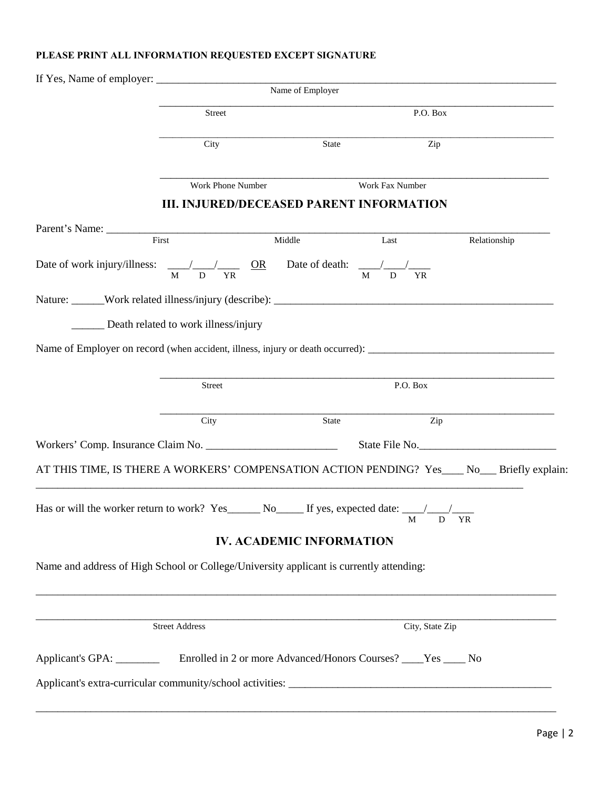## **PLEASE PRINT ALL INFORMATION REQUESTED EXCEPT SIGNATURE**

|                                                                                         |                                      | Name of Employer                            |                                                 |                                                                                             |
|-----------------------------------------------------------------------------------------|--------------------------------------|---------------------------------------------|-------------------------------------------------|---------------------------------------------------------------------------------------------|
|                                                                                         | Street                               |                                             | P.O. Box                                        |                                                                                             |
|                                                                                         |                                      |                                             |                                                 |                                                                                             |
|                                                                                         | City                                 | State                                       | Zip                                             |                                                                                             |
|                                                                                         |                                      |                                             |                                                 |                                                                                             |
|                                                                                         | Work Phone Number                    |                                             | Work Fax Number                                 |                                                                                             |
|                                                                                         |                                      |                                             | <b>III. INJURED/DECEASED PARENT INFORMATION</b> |                                                                                             |
| Parent's Name: First Middle                                                             |                                      |                                             | Last                                            | Relationship                                                                                |
|                                                                                         |                                      |                                             |                                                 |                                                                                             |
|                                                                                         | $\mathbf{M}$<br>${\bf D}$            | $\frac{OR}{M}$ Date of death: $\frac{M}{M}$ | <b>YR</b>                                       |                                                                                             |
|                                                                                         |                                      |                                             |                                                 |                                                                                             |
|                                                                                         |                                      |                                             |                                                 |                                                                                             |
|                                                                                         | Death related to work illness/injury |                                             |                                                 |                                                                                             |
|                                                                                         |                                      |                                             |                                                 |                                                                                             |
|                                                                                         |                                      |                                             |                                                 |                                                                                             |
|                                                                                         | Street                               |                                             | P.O. Box                                        |                                                                                             |
|                                                                                         |                                      |                                             |                                                 |                                                                                             |
|                                                                                         | City                                 | State                                       | Zip                                             |                                                                                             |
|                                                                                         |                                      |                                             |                                                 | State File No.                                                                              |
|                                                                                         |                                      |                                             |                                                 | AT THIS TIME, IS THERE A WORKERS' COMPENSATION ACTION PENDING? Yes___ No__ Briefly explain: |
|                                                                                         |                                      |                                             |                                                 |                                                                                             |
|                                                                                         |                                      |                                             | M D YR                                          |                                                                                             |
|                                                                                         |                                      | <b>IV. ACADEMIC INFORMATION</b>             |                                                 |                                                                                             |
| Name and address of High School or College/University applicant is currently attending: |                                      |                                             |                                                 |                                                                                             |
|                                                                                         |                                      |                                             |                                                 |                                                                                             |
|                                                                                         |                                      |                                             |                                                 |                                                                                             |
|                                                                                         |                                      |                                             |                                                 |                                                                                             |
|                                                                                         | <b>Street Address</b>                |                                             | City, State Zip                                 |                                                                                             |
| Applicant's GPA: Enrolled in 2 or more Advanced/Honors Courses? The Yes The No          |                                      |                                             |                                                 |                                                                                             |
|                                                                                         |                                      |                                             |                                                 |                                                                                             |
|                                                                                         |                                      |                                             |                                                 |                                                                                             |
|                                                                                         |                                      |                                             |                                                 |                                                                                             |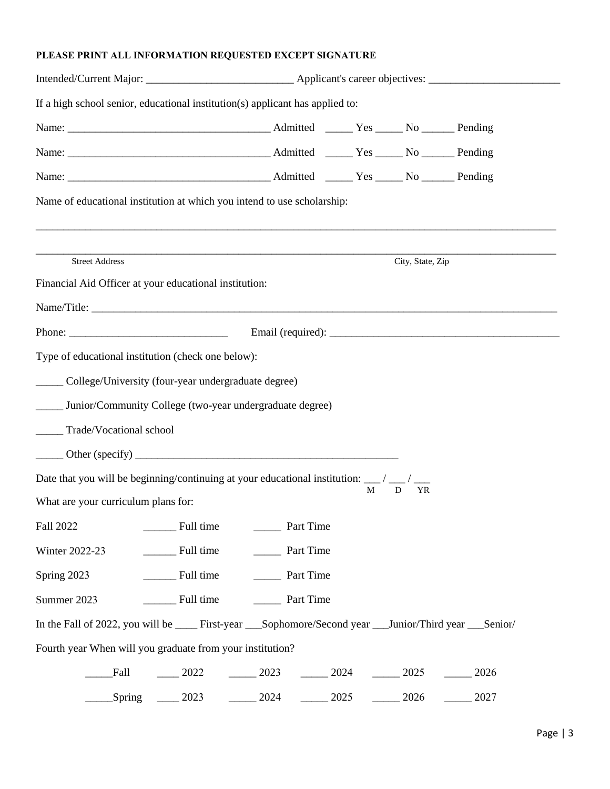## **PLEASE PRINT ALL INFORMATION REQUESTED EXCEPT SIGNATURE**

| If a high school senior, educational institution(s) applicant has applied to:                                              |                                   |                                                                                                                       |         |      |      |  |  |  |
|----------------------------------------------------------------------------------------------------------------------------|-----------------------------------|-----------------------------------------------------------------------------------------------------------------------|---------|------|------|--|--|--|
|                                                                                                                            |                                   |                                                                                                                       |         |      |      |  |  |  |
|                                                                                                                            |                                   |                                                                                                                       |         |      |      |  |  |  |
|                                                                                                                            |                                   |                                                                                                                       |         |      |      |  |  |  |
| Name of educational institution at which you intend to use scholarship:                                                    |                                   |                                                                                                                       |         |      |      |  |  |  |
|                                                                                                                            |                                   | <u> 1989 - John Stone, Amerikaans van die Stone van die Stone van die Stone van die Stone van die Stone van die S</u> |         |      |      |  |  |  |
| <b>Street Address</b>                                                                                                      | City, State, Zip                  |                                                                                                                       |         |      |      |  |  |  |
| Financial Aid Officer at your educational institution:                                                                     |                                   |                                                                                                                       |         |      |      |  |  |  |
|                                                                                                                            |                                   |                                                                                                                       |         |      |      |  |  |  |
|                                                                                                                            |                                   |                                                                                                                       |         |      |      |  |  |  |
| Type of educational institution (check one below):                                                                         |                                   |                                                                                                                       |         |      |      |  |  |  |
| ______ College/University (four-year undergraduate degree)                                                                 |                                   |                                                                                                                       |         |      |      |  |  |  |
| _____ Junior/Community College (two-year undergraduate degree)                                                             |                                   |                                                                                                                       |         |      |      |  |  |  |
| _____ Trade/Vocational school                                                                                              |                                   |                                                                                                                       |         |      |      |  |  |  |
|                                                                                                                            |                                   |                                                                                                                       |         |      |      |  |  |  |
| Date that you will be beginning/continuing at your educational institution: $\frac{1}{M}$ / $\frac{1}{D}$ / $\frac{1}{YR}$ |                                   |                                                                                                                       |         |      |      |  |  |  |
| What are your curriculum plans for:                                                                                        |                                   |                                                                                                                       |         |      |      |  |  |  |
| Fall 2022                                                                                                                  | Full time                         | Part Time                                                                                                             |         |      |      |  |  |  |
| Winter 2022-23                                                                                                             | Full time<br>__________ Part Time |                                                                                                                       |         |      |      |  |  |  |
| Spring 2023                                                                                                                | Full time<br>__________ Part Time |                                                                                                                       |         |      |      |  |  |  |
| Summer 2023                                                                                                                | Full time<br>Part Time            |                                                                                                                       |         |      |      |  |  |  |
| In the Fall of 2022, you will be ______ First-year ____Sophomore/Second year ____Junior/Third year ___Senior/              |                                   |                                                                                                                       |         |      |      |  |  |  |
| Fourth year When will you graduate from your institution?                                                                  |                                   |                                                                                                                       |         |      |      |  |  |  |
| Fall                                                                                                                       | $-2022$                           | $\frac{2023}{ }$                                                                                                      | $-2024$ | 2025 | 2026 |  |  |  |
| Spring                                                                                                                     | 2023                              | 2024                                                                                                                  | 2025    | 2026 | 2027 |  |  |  |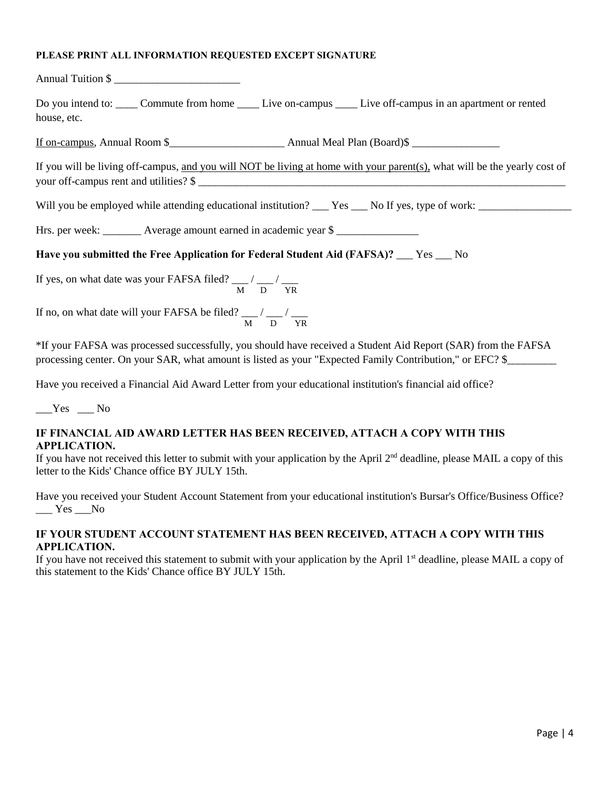#### **PLEASE PRINT ALL INFORMATION REQUESTED EXCEPT SIGNATURE**

Annual Tuition \$ \_\_\_\_\_\_\_\_\_\_\_\_\_\_\_\_\_\_\_\_\_\_\_

Do you intend to: \_\_\_\_\_ Commute from home \_\_\_\_\_ Live on-campus \_\_\_\_\_ Live off-campus in an apartment or rented house, etc.

If on-campus, Annual Room \$\_\_\_\_\_\_\_\_\_\_\_\_\_\_\_\_\_\_\_\_\_ Annual Meal Plan (Board)\$ \_\_\_\_\_\_\_\_\_\_\_\_\_\_\_\_

If you will be living off-campus, and you will NOT be living at home with your parent(s), what will be the yearly cost of your off-campus rent and utilities?  $\$ 

Will you be employed while attending educational institution? \_\_\_ Yes \_\_\_ No If yes, type of work: \_\_\_\_\_\_\_\_\_\_\_\_\_\_\_\_\_

Hrs. per week: \_\_\_\_\_\_\_\_ Average amount earned in academic year \$

## **Have you submitted the Free Application for Federal Student Aid (FAFSA)?** \_\_\_ Yes \_\_\_ No

If yes, on what date was your FAFSA filed?  $\frac{M}{M}$  / $\frac{M}{D}$  / $\frac{M}{YR}$ 

If no, on what date will your FAFSA be filed?  $\frac{1}{M}$  / $\frac{1}{D}$  / $\frac{1}{YR}$ 

\*If your FAFSA was processed successfully, you should have received a Student Aid Report (SAR) from the FAFSA processing center. On your SAR, what amount is listed as your "Expected Family Contribution," or EFC? \$\_\_\_\_\_\_\_\_\_

Have you received a Financial Aid Award Letter from your educational institution's financial aid office?

 $Yes$   $No$ 

#### **IF FINANCIAL AID AWARD LETTER HAS BEEN RECEIVED, ATTACH A COPY WITH THIS APPLICATION.**

If you have not received this letter to submit with your application by the April  $2<sup>nd</sup>$  deadline, please MAIL a copy of this letter to the Kids' Chance office BY JULY 15th.

Have you received your Student Account Statement from your educational institution's Bursar's Office/Business Office?  $\_\_\_\$  Yes  $\_\_\$  No

## **IF YOUR STUDENT ACCOUNT STATEMENT HAS BEEN RECEIVED, ATTACH A COPY WITH THIS APPLICATION.**

If you have not received this statement to submit with your application by the April 1<sup>st</sup> deadline, please MAIL a copy of this statement to the Kids' Chance office BY JULY 15th.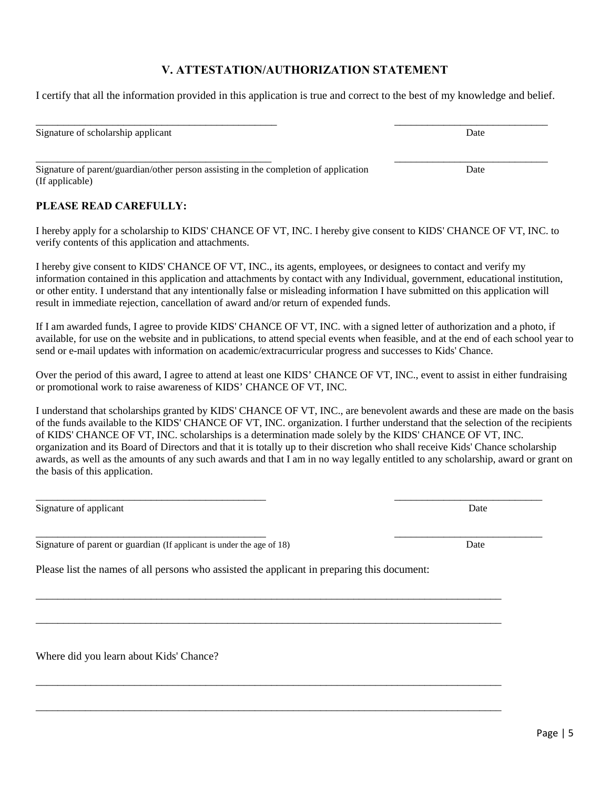# Signature of scholarship applicant Date

Signature of parent/guardian/other person assisting in the completion of application Date (If applicable)

#### **PLEASE READ CAREFULLY:**

I hereby apply for a scholarship to KIDS' CHANCE OF VT, INC. I hereby give consent to KIDS' CHANCE OF VT, INC. to verify contents of this application and attachments.

**V. ATTESTATION/AUTHORIZATION STATEMENT**

I certify that all the information provided in this application is true and correct to the best of my knowledge and belief.

\_\_\_\_\_\_\_\_\_\_\_\_\_\_\_\_\_\_\_\_\_\_\_\_\_\_\_\_\_\_\_\_\_\_\_\_\_\_\_\_\_\_\_\_ \_\_\_\_\_\_\_\_\_\_\_\_\_\_\_\_\_\_\_\_\_\_\_\_\_\_\_\_

I hereby give consent to KIDS' CHANCE OF VT, INC., its agents, employees, or designees to contact and verify my information contained in this application and attachments by contact with any Individual, government, educational institution, or other entity. I understand that any intentionally false or misleading information I have submitted on this application will result in immediate rejection, cancellation of award and/or return of expended funds.

If I am awarded funds, I agree to provide KIDS' CHANCE OF VT, INC. with a signed letter of authorization and a photo, if available, for use on the website and in publications, to attend special events when feasible, and at the end of each school year to send or e-mail updates with information on academic/extracurricular progress and successes to Kids' Chance.

Over the period of this award, I agree to attend at least one KIDS' CHANCE OF VT, INC., event to assist in either fundraising or promotional work to raise awareness of KIDS' CHANCE OF VT, INC.

I understand that scholarships granted by KIDS' CHANCE OF VT, INC., are benevolent awards and these are made on the basis of the funds available to the KIDS' CHANCE OF VT, INC. organization. I further understand that the selection of the recipients of KIDS' CHANCE OF VT, INC. scholarships is a determination made solely by the KIDS' CHANCE OF VT, INC. organization and its Board of Directors and that it is totally up to their discretion who shall receive Kids' Chance scholarship awards, as well as the amounts of any such awards and that I am in no way legally entitled to any scholarship, award or grant on the basis of this application.

\_\_\_\_\_\_\_\_\_\_\_\_\_\_\_\_\_\_\_\_\_\_\_\_\_\_\_\_\_\_\_\_\_\_\_\_\_\_\_\_\_\_ \_\_\_\_\_\_\_\_\_\_\_\_\_\_\_\_\_\_\_\_\_\_\_\_\_\_\_

\_\_\_\_\_\_\_\_\_\_\_\_\_\_\_\_\_\_\_\_\_\_\_\_\_\_\_\_\_\_\_\_\_\_\_\_\_\_\_\_\_\_\_\_\_\_\_\_\_\_\_\_\_\_\_\_\_\_\_\_\_\_\_\_\_\_\_\_\_\_\_\_\_\_\_\_\_\_\_\_\_\_\_\_\_

\_\_\_\_\_\_\_\_\_\_\_\_\_\_\_\_\_\_\_\_\_\_\_\_\_\_\_\_\_\_\_\_\_\_\_\_\_\_\_\_\_\_\_\_\_\_\_\_\_\_\_\_\_\_\_\_\_\_\_\_\_\_\_\_\_\_\_\_\_\_\_\_\_\_\_\_\_\_\_\_\_\_\_\_\_

\_\_\_\_\_\_\_\_\_\_\_\_\_\_\_\_\_\_\_\_\_\_\_\_\_\_\_\_\_\_\_\_\_\_\_\_\_\_\_\_\_\_\_\_\_\_\_\_\_\_\_\_\_\_\_\_\_\_\_\_\_\_\_\_\_\_\_\_\_\_\_\_\_\_\_\_\_\_\_\_\_\_\_\_\_

\_\_\_\_\_\_\_\_\_\_\_\_\_\_\_\_\_\_\_\_\_\_\_\_\_\_\_\_\_\_\_\_\_\_\_\_\_\_\_\_\_\_\_\_\_\_\_\_\_\_\_\_\_\_\_\_\_\_\_\_\_\_\_\_\_\_\_\_\_\_\_\_\_\_\_\_\_\_\_\_\_\_\_\_\_

Signature of applicant Date Date of a set of a set of a set of a set of a set of a set of a set of a set of a set of a set of a set of a set of a set of a set of a set of a set of a set of a set of a set of a set of a set

\_\_\_\_\_\_\_\_\_\_\_\_\_\_\_\_\_\_\_\_\_\_\_\_\_\_\_\_\_\_\_\_\_\_\_\_\_\_\_\_\_\_ \_\_\_\_\_\_\_\_\_\_\_\_\_\_\_\_\_\_\_\_\_\_\_\_\_\_\_ Signature of parent or guardian (If applicant is under the age of 18) Date

Please list the names of all persons who assisted the applicant in preparing this document:

Where did you learn about Kids' Chance?

Page | 5

\_\_\_\_\_\_\_\_\_\_\_\_\_\_\_\_\_\_\_\_\_\_\_\_\_\_\_\_\_\_\_\_\_\_\_\_\_\_\_\_\_\_\_ \_\_\_\_\_\_\_\_\_\_\_\_\_\_\_\_\_\_\_\_\_\_\_\_\_\_\_\_